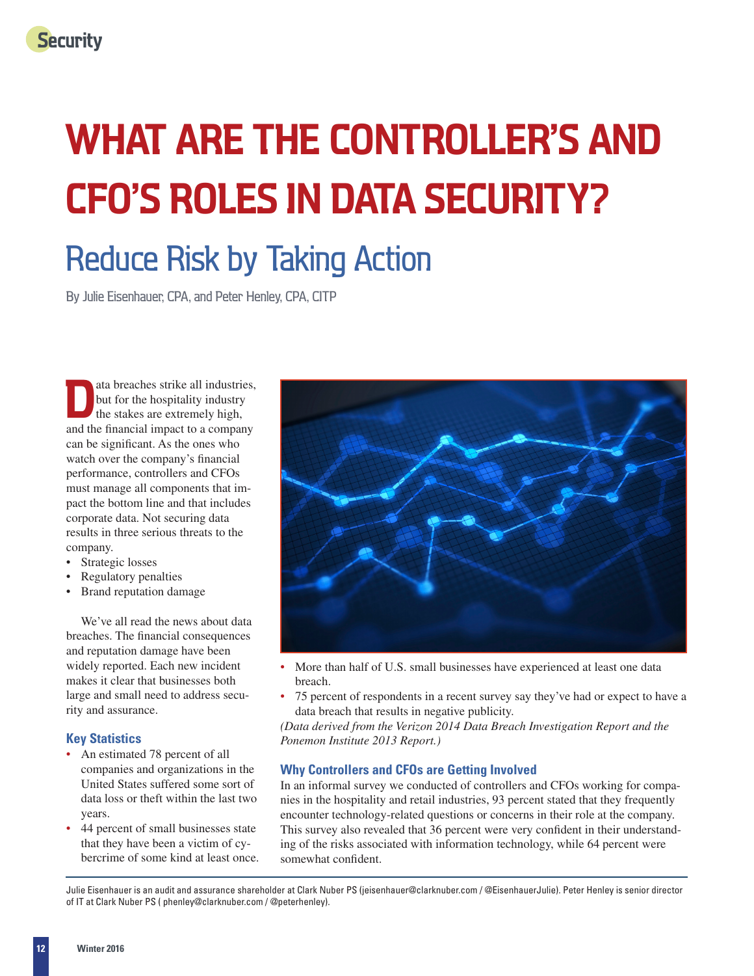# **WHAT ARE THE CONTROLLER'S AND CFO'S ROLES IN DATA SECURITY?**

## Reduce Risk by Taking Action

By Julie Eisenhauer, CPA, and Peter Henley, CPA, CITP

ata breaches strike all industries, but for the hospitality industry the stakes are extremely high, and the financial impact to a company can be significant. As the ones who watch over the company's financial performance, controllers and CFOs must manage all components that impact the bottom line and that includes corporate data. Not securing data results in three serious threats to the company.

- Strategic losses
- Regulatory penalties
- Brand reputation damage

We've all read the news about data breaches. The financial consequences and reputation damage have been widely reported. Each new incident makes it clear that businesses both large and small need to address security and assurance.

## **Key Statistics**

- An estimated 78 percent of all companies and organizations in the United States suffered some sort of data loss or theft within the last two years.
- 44 percent of small businesses state that they have been a victim of cybercrime of some kind at least once.



- More than half of U.S. small businesses have experienced at least one data breach.
- 75 percent of respondents in a recent survey say they've had or expect to have a data breach that results in negative publicity.

*(Data derived from the Verizon 2014 Data Breach Investigation Report and the Ponemon Institute 2013 Report.)*

## **Why Controllers and CFOs are Getting Involved**

In an informal survey we conducted of controllers and CFOs working for companies in the hospitality and retail industries, 93 percent stated that they frequently encounter technology-related questions or concerns in their role at the company. This survey also revealed that 36 percent were very confident in their understanding of the risks associated with information technology, while 64 percent were somewhat confident.

Julie Eisenhauer is an audit and assurance shareholder at Clark Nuber PS [\(jeisenhauer@clarknuber.com / @EisenhauerJulie\). Pe](mailto:jeisenhauer@clarknuber.com/@EisenhauerJulie)ter Henley is senior director of IT at Clark Nuber PS ( [phenley@clarknuber.com / @peterhenley\).](mailto:phenley@clarknuber.com/@peterhenley)